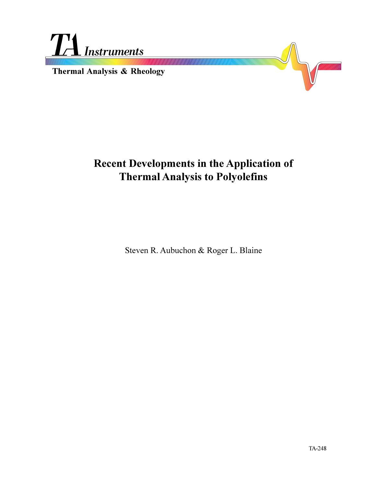

# **Recent Developments in the Application of Thermal Analysis to Polyolefins**

Steven R. Aubuchon & Roger L. Blaine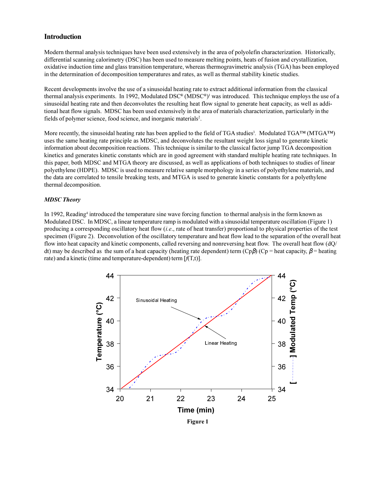## **Introduction**

Modern thermal analysis techniques have been used extensively in the area of polyolefin characterization. Historically, differential scanning calorimetry (DSC) has been used to measure melting points, heats of fusion and crystallization, oxidative induction time and glass transition temperature, whereas thermogravimetric analysis (TGA) has been employed in the determination of decomposition temperatures and rates, as well as thermal stability kinetic studies.

Recent developments involve the use of a sinusoidal heating rate to extract additional information from the classical thermal analysis experiments. In 1992, Modulated DSC® (MDSC®)<sup>1</sup> was introduced. This technique employs the use of a sinusoidal heating rate and then deconvolutes the resulting heat flow signal to generate heat capacity, as well as additional heat flow signals. MDSC has been used extensively in the area of materials characterization, particularly in the fields of polymer science, food science, and inorganic materials<sup>2</sup>.

More recently, the sinusoidal heating rate has been applied to the field of TGA studies<sup>3</sup>. Modulated TGA<sup>TM</sup> (MTGA<sup>TM</sup>) uses the same heating rate principle as MDSC, and deconvolutes the resultant weight loss signal to generate kinetic information about decomposition reactions. This technique is similar to the classical factor jump TGA decomposition kinetics and generates kinetic constants which are in good agreement with standard multiple heating rate techniques. In this paper, both MDSC and MTGA theory are discussed, as well as applications of both techniques to studies of linear polyethylene (HDPE). MDSC is used to measure relative sample morphology in a series of polyethylene materials, and the data are correlated to tensile breaking tests, and MTGA is used to generate kinetic constants for a polyethylene thermal decomposition.

### *MDSC Theory*

In 1992, Reading<sup>4</sup> introduced the temperature sine wave forcing function to thermal analysis in the form known as Modulated DSC. In MDSC, a linear temperature ramp is modulated with a sinusoidal temperature oscillation (Figure 1) producing a corresponding oscillatory heat flow (*i.e*., rate of heat transfer) proportional to physical properties of the test specimen (Figure 2). Deconvolution of the oscillatory temperature and heat flow lead to the separation of the overall heat flow into heat capacity and kinetic components, called reversing and nonreversing heat flow. The overall heat flow (dQ/ dt) may be described as the sum of a heat capacity (heating rate dependent) term  $(Cp\beta)$  ( $Cp$  = heat capacity,  $\beta$  = heating rate) and a kinetic (time and temperature-dependent) term [*f*(T,t)].

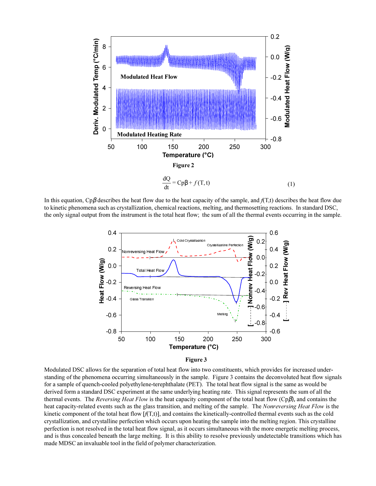

In this equation, Cpβ describes the heat flow due to the heat capacity of the sample, and *f*(T,t) describes the heat flow due to kinetic phenomena such as crystallization, chemical reactions, melting, and thermosetting reactions. In standard DSC, the only signal output from the instrument is the total heat flow; the sum of all the thermal events occurring in the sample.



Modulated DSC allows for the separation of total heat flow into two constituents, which provides for increased understanding of the phenomena occurring simultaneously in the sample. Figure 3 contains the deconvoluted heat flow signals for a sample of quench-cooled polyethylene-terephthalate (PET). The total heat flow signal is the same as would be derived form a standard DSC experiment at the same underlying heating rate. This signal represents the sum of all the thermal events. The *Reversing Heat Flow* is the heat capacity component of the total heat flow (Cpβ), and contains the heat capacity-related events such as the glass transition, and melting of the sample. The *Nonreversing Heat Flow* is the kinetic component of the total heat flow [*f*(T,t)], and contains the kinetically-controlled thermal events such as the cold crystallization, and crystalline perfection which occurs upon heating the sample into the melting region. This crystalline perfection is not resolved in the total heat flow signal, as it occurs simultaneous with the more energetic melting process, and is thus concealed beneath the large melting. It is this ability to resolve previously undetectable transitions which has made MDSC an invaluable tool in the field of polymer characterization.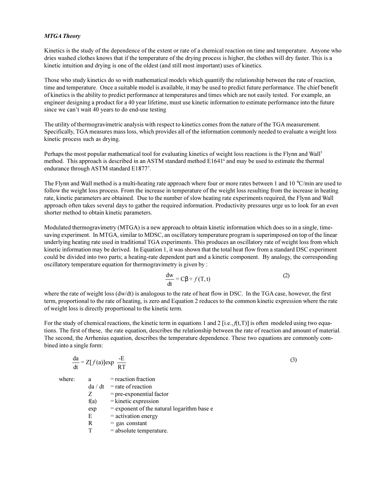#### *MTGA Theory*

Kinetics is the study of the dependence of the extent or rate of a chemical reaction on time and temperature. Anyone who dries washed clothes knows that if the temperature of the drying process is higher, the clothes will dry faster. This is a kinetic intuition and drying is one of the oldest (and still most important) uses of kinetics.

Those who study kinetics do so with mathematical models which quantify the relationship between the rate of reaction, time and temperature. Once a suitable model is available, it may be used to predict future performance. The chief benefit of kinetics is the ability to predict performance at temperatures and times which are not easily tested. For example, an engineer designing a product for a 40 year lifetime, must use kinetic information to estimate performance into the future since we can't wait 40 years to do end-use testing

The utility of thermogravimetric analysis with respect to kinetics comes from the nature of the TGA measurement. Specifically, TGA measures mass loss, which provides all of the information commonly needed to evaluate a weight loss kinetic process such as drying.

Perhaps the most popular mathematical tool for evaluating kinetics of weight loss reactions is the Flynn and Wall<sup>5</sup> method. This approach is described in an ASTM standard method E1641<sup>6</sup> and may be used to estimate the thermal endurance through ASTM standard E1877<sup>7</sup>.

The Flynn and Wall method is a multi-heating rate approach where four or more rates between 1 and 10 °C/min are used to follow the weight loss process. From the increase in temperature of the weight loss resulting from the increase in heating rate, kinetic parameters are obtained. Due to the number of slow heating rate experiments required, the Flynn and Wall approach often takes several days to gather the required information. Productivity pressures urge us to look for an even shorter method to obtain kinetic parameters.

Modulated thermogravimetry (MTGA) is a new approach to obtain kinetic information which does so in a single, timesaving experiment. In MTGA, similar to MDSC, an oscillatory temperature program is superimposed on top of the linear underlying heating rate used in traditional TGA experiments. This produces an oscillatory rate of weight loss from which kinetic information may be derived. In Equation 1, it was shown that the total heat flow from a standard DSC experiment could be divided into two parts; a heating-rate dependent part and a kinetic component. By analogy, the corresponding oscillatory temperature equation for thermogravimetry is given by :

$$
\frac{dw}{dt} = C\beta + f(T, t)
$$
 (2)

where the rate of weight loss (dw/dt) is analogous to the rate of heat flow in DSC. In the TGA case, however, the first term, proportional to the rate of heating, is zero and Equation 2 reduces to the common kinetic expression where the rate of weight loss is directly proportional to the kinetic term.

For the study of chemical reactions, the kinetic term in equations 1 and 2 [i.e., $f(t,T)$ ] is often modeled using two equations. The first of these, the rate equation, describes the relationship between the rate of reaction and amount of material. The second, the Arrhenius equation, describes the temperature dependence. These two equations are commonly combined into a single form:

$$
\frac{da}{dt} = Z[f(a)]exp\left(\frac{-E}{RT}\right)
$$
\nwhere:  
\na = reaction fraction  
\n $da/dt = rate of reaction$   
\n $Z = pre-exponential factor$   
\nf(a) = kinetic expression

$$
\exp = \text{exponent of the natural logarithm base}
$$

 $E$  = activation energy  $R = gas constant$ 

$$
T = absolute temperature.
$$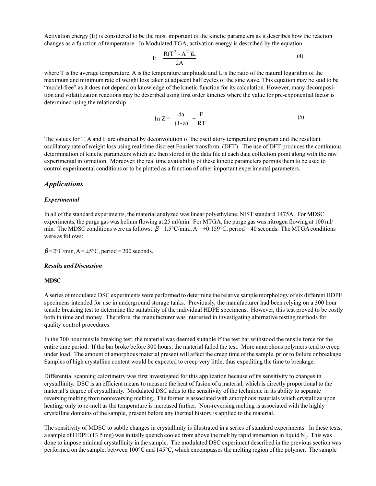Activation energy (E) is considered to be the most important of the kinetic parameters as it describes how the reaction changes as a function of temperature. In Modulated TGA, activation energy is described by the equation:

$$
E = \frac{R(T^2 - A^2)L}{2A}
$$
 (4)

where T is the average temperature, A is the temperature amplitude and L is the ratio of the natural logarithm of the maximum and minimum rate of weight loss taken at adjacent half cycles of the sine wave. This equation may be said to be "model-free" as it does not depend on knowledge of the kinetic function for its calculation. However, many decomposition and volatilization reactions may be described using first order kinetics where the value for pre-exponential factor is determined using the relationship

$$
\ln Z = \left[\frac{da}{(1-a)}\right] + \frac{E}{RT}
$$
 (5)

The values for T, A and L are obtained by deconvolution of the oscillatory temperature program and the resultant oscillatory rate of weight loss using real-time discreet Fourier transform, (DFT). The use of DFT produces the continuous determination of kinetic parameters which are then stored in the data file at each data collection point along with the raw experimental information. Moreover, the real time availability of these kinetic parameters permits them to be used to control experimental conditions or to be plotted as a function of other important experimental parameters.

## *Applications*

#### *Experimental*

In all of the standard experiments, the material analyzed was linear polyethylene, NIST standard 1475A. For MDSC experiments, the purge gas was helium flowing at 25 ml/min. For MTGA, the purge gas was nitrogen flowing at 100 ml/ min. The MDSC conditions were as follows:  $\beta = 1.5^{\circ}C/\text{min}$ ,  $A = \pm 0.15^{\circ}C$ , period = 40 seconds. The MTGA conditions were as follows:

 $\beta$  = 2°C/min, A =  $\pm$ 5°C, period = 200 seconds.

#### *Results and Discussion*

#### **MDSC**

A series of modulated DSC experiments were performed to determine the relative sample morphology of six different HDPE specimens intended for use in underground storage tanks. Previously, the manufacturer had been relying on a 300 hour tensile breaking test to determine the suitability of the individual HDPE specimens. However, this test proved to be costly both in time and money. Therefore, the manufacturer was interested in investigating alternative testing methods for quality control procedures.

In the 300 hour tensile breaking test, the material was deemed suitable if the test bar withstood the tensile force for the entire time period. If the bar broke before 300 hours, the material failed the test. More amorphous polymers tend to creep under load. The amount of amorphous material present will affect the creep time of the sample, prior to failure or breakage. Samples of high crystalline content would be expected to creep very little, thus expediting the time to breakage.

Differential scanning calorimetry was first investigated for this application because of its sensitivity to changes in crystallinity. DSC is an efficient means to measure the heat of fusion of a material, which is directly proportional to the material's degree of crystallinity. Modulated DSC adds to the sensitivity of the technique in its ability to separate reversing melting from nonreversing melting. The former is associated with amorphous materials which crystallize upon heating, only to re-melt as the temperature is increased further. Non-reversing melting is associated with the highly crystalline domains of the sample, present before any thermal history is applied to the material.

The sensitivity of MDSC to subtle changes in crystallinity is illustrated in a series of standard experiments. In these tests, a sample of HDPE (13.5 mg) was initially quench cooled from above the melt by rapid immersion in liquid N<sub>2</sub>. This was done to impose minimal crystallinity in the sample. The modulated DSC experiment described in the previous section was performed on the sample, between 100°C and 145°C, which encompasses the melting region of the polymer. The sample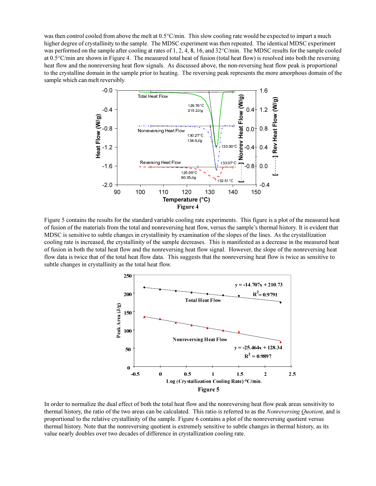was then control cooled from above the melt at 0.5°C/min. This slow cooling rate would be expected to impart a much higher degree of crystallinity to the sample. The MDSC experiment was then repeated. The identical MDSC experiment was performed on the sample after cooling at rates of 1, 2, 4, 8, 16, and 32°C/min. The MDSC results for the sample cooled at  $0.5^{\circ}$ C/min are shown in Figure 4. The measured total heat of fusion (total heat flow) is resolved into both the reversing heat flow and the nonreversing heat flow signals. As discussed above, the non-reversing heat flow peak is proportional to the crystalline domain in the sample prior to heating. The reversing peak represents the more amorphous domain of the sample which can melt reversibly.



Figure 5 contains the results for the standard variable cooling rate experiments. This figure is a plot of the measured heat of fusion of the materials from the total and nonreversing heat flow, versus the sample's thermal history. It is evident that MDSC is sensitive to subtle changes in crystallinity by examination of the slopes of the lines. As the crystallization cooling rate is increased, the crystallinity of the sample decreases. This is manifested as a decrease in the measured heat of fusion in both the total heat flow and the nonreversing heat flow signal. However, the slope of the nonreversing heat flow data is twice that of the total heat flow data. This suggests that the nonreversing heat flow is twice as sensitive to subtle changes in crystallinity as the total heat flow.



In order to normalize the dual effect of both the total heat flow and the nonreversing heat flow peak areas sensitivity to thermal history, the ratio of the two areas can be calculated. This ratio is referred to as the *Nonreversing Quotient*, and is proportional to the relative crystallinity of the sample. Figure 6 contains a plot of the nonreversing quotient versus thermal history. Note that the nonreversing quotient is extremely sensitive to subtle changes in thermal history, as its value nearly doubles over two decades of difference in crystallization cooling rate.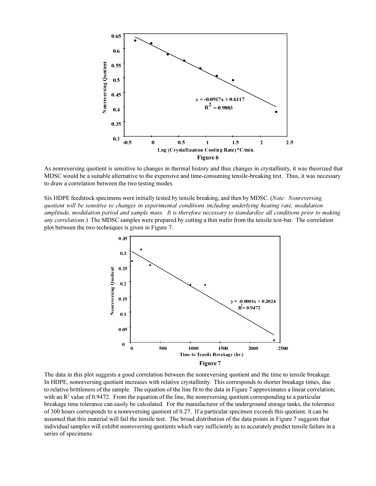

As nonreversing quotient is sensitive to changes in thermal history and thus changes in crystallinity, it was theorized that MDSC would be a suitable alternative to the expensive and time-consuming tensile-breaking test. Thus, it was necessary to draw a correlation between the two testing modes.

Six HDPE feedstock specimens were initially tested by tensile breaking, and then by MDSC. (*Note: Nonreversing quotient will be sensitive to changes in experimental conditions including underlying heating rate, modulation amplitude, modulation period and sample mass. It is therefore necessary to standardize all conditions prior to making any correlations*.) The MDSC samples were prepared by cutting a thin wafer from the tensile test-bar. The correlation plot between the two techniques is given in Figure 7.



The data in this plot suggests a good correlation between the nonreversing quotient and the time to tensile breakage. In HDPE, nonreversing quotient increases with relative crystallinity. This corresponds to shorter breakage times, due to relative brittleness of the sample. The equation of the line fit to the data in Figure 7 approximates a linear correlation, with an  $\mathbb{R}^2$  value of 0.9472. From the equation of the line, the nonreversing quotient corresponding to a particular breakage time tolerance can easily be calculated. For the manufacturer of the underground storage tanks, the tolerance of 300 hours corresponds to a nonreversing quotient of 0.27. If a particular specimen exceeds this quotient, it can be assumed that this material will fail the tensile test. The broad distribution of the data points in Figure 7 suggests that individual samples will exhibit nonreversing quotients which vary sufficiently as to accurately predict tensile failure in a series of specimens.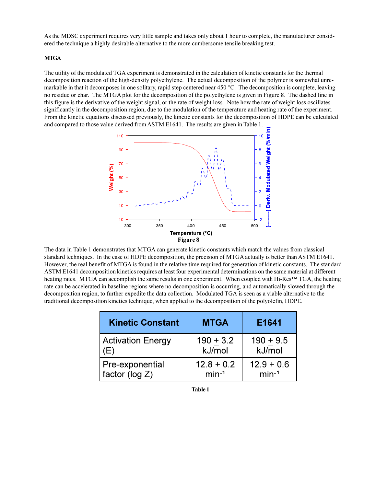As the MDSC experiment requires very little sample and takes only about 1 hour to complete, the manufacturer considered the technique a highly desirable alternative to the more cumbersome tensile breaking test.

## **MTGA**

The utility of the modulated TGA experiment is demonstrated in the calculation of kinetic constants for the thermal decomposition reaction of the high-density polyethylene. The actual decomposition of the polymer is somewhat unremarkable in that it decomposes in one solitary, rapid step centered near 450 °C. The decomposition is complete, leaving no residue or char. The MTGA plot for the decomposition of the polyethylene is given in Figure 8. The dashed line in this figure is the derivative of the weight signal, or the rate of weight loss. Note how the rate of weight loss oscillates significantly in the decomposition region, due to the modulation of the temperature and heating rate of the experiment. From the kinetic equations discussed previously, the kinetic constants for the decomposition of HDPE can be calculated and compared to those value derived from ASTM E1641. The results are given in Table 1.



The data in Table 1 demonstrates that MTGA can generate kinetic constants which match the values from classical standard techniques. In the case of HDPE decomposition, the precision of MTGA actually is better than ASTM E1641. However, the real benefit of MTGA is found in the relative time required for generation of kinetic constants. The standard ASTM E1641 decomposition kinetics requires at least four experimental determinations on the same material at different heating rates. MTGA can accomplish the same results in one experiment. When coupled with Hi-Res<sup>TM</sup> TGA, the heating rate can be accelerated in baseline regions where no decomposition is occurring, and automatically slowed through the decomposition region, to further expedite the data collection. Modulated TGA is seen as a viable alternative to the traditional decomposition kinetics technique, when applied to the decomposition of the polyolefin, HDPE.

| <b>Kinetic Constant</b>  | <b>MTGA</b>  | E1641        |
|--------------------------|--------------|--------------|
| <b>Activation Energy</b> | $190 + 3.2$  | $190 + 9.5$  |
| (E)                      | kJ/mol       | kJ/mol       |
| Pre-exponential          | $12.8 + 0.2$ | $12.9 + 0.6$ |
| factor ( $log Z$ )       | $min-1$      | $min-1$      |

**Table 1**